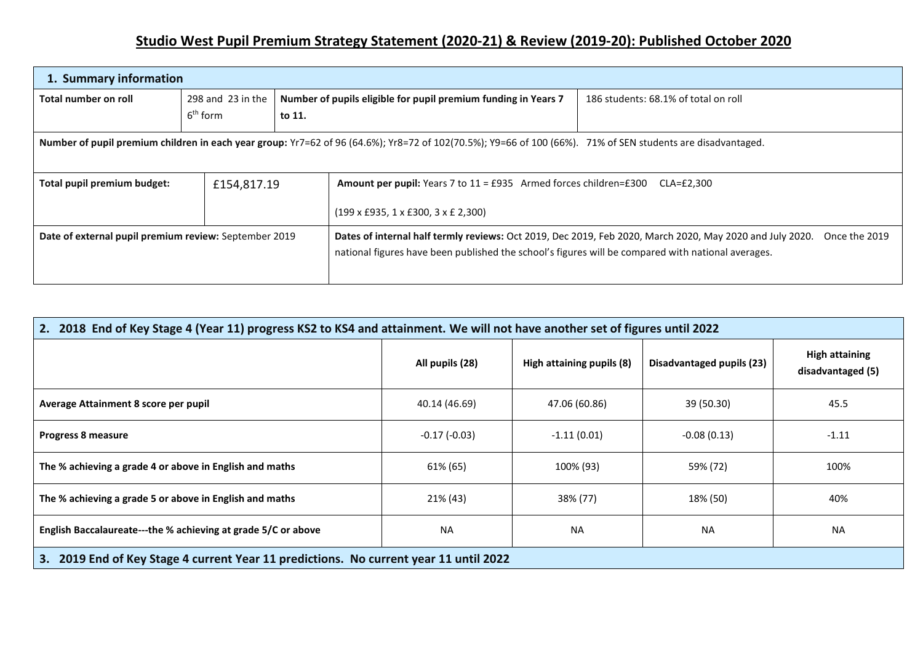## **Studio West Pupil Premium Strategy Statement (2020-21) & Review (2019-20): Published October 2020**

| 1. Summary information                                |                                                                                                                                                             |        |                                                                                                                                                                                                                |                                      |  |  |
|-------------------------------------------------------|-------------------------------------------------------------------------------------------------------------------------------------------------------------|--------|----------------------------------------------------------------------------------------------------------------------------------------------------------------------------------------------------------------|--------------------------------------|--|--|
| Total number on roll                                  | 298 and 23 in the<br>6 <sup>th</sup> form                                                                                                                   | to 11. | Number of pupils eligible for pupil premium funding in Years 7                                                                                                                                                 | 186 students: 68.1% of total on roll |  |  |
|                                                       | Number of pupil premium children in each year group: Yr7=62 of 96 (64.6%); Yr8=72 of 102(70.5%); Y9=66 of 100 (66%). 71% of SEN students are disadvantaged. |        |                                                                                                                                                                                                                |                                      |  |  |
| Total pupil premium budget:                           | £154,817.19                                                                                                                                                 |        | <b>Amount per pupil:</b> Years 7 to $11 = £935$ Armed forces children= $£300$<br>CLA=£2.300                                                                                                                    |                                      |  |  |
|                                                       |                                                                                                                                                             |        | $(199 \times \text{\pounds}935, 1 \times \text{\pounds}300, 3 \times \text{\pounds}2,300)$                                                                                                                     |                                      |  |  |
| Date of external pupil premium review: September 2019 |                                                                                                                                                             |        | Dates of internal half termly reviews: Oct 2019, Dec 2019, Feb 2020, March 2020, May 2020 and July 2020.<br>national figures have been published the school's figures will be compared with national averages. | Once the 2019                        |  |  |

| 2. 2018 End of Key Stage 4 (Year 11) progress KS2 to KS4 and attainment. We will not have another set of figures until 2022 |                 |                           |                                  |                                            |  |  |  |
|-----------------------------------------------------------------------------------------------------------------------------|-----------------|---------------------------|----------------------------------|--------------------------------------------|--|--|--|
|                                                                                                                             | All pupils (28) | High attaining pupils (8) | <b>Disadvantaged pupils (23)</b> | <b>High attaining</b><br>disadvantaged (5) |  |  |  |
| Average Attainment 8 score per pupil                                                                                        | 40.14 (46.69)   | 47.06 (60.86)             | 39 (50.30)                       | 45.5                                       |  |  |  |
| <b>Progress 8 measure</b>                                                                                                   | $-0.17(-0.03)$  | $-1.11(0.01)$             | $-0.08(0.13)$                    | $-1.11$                                    |  |  |  |
| The % achieving a grade 4 or above in English and maths                                                                     | 61% (65)        | 100% (93)                 | 59% (72)                         | 100%                                       |  |  |  |
| The % achieving a grade 5 or above in English and maths                                                                     | 21% (43)        | 38% (77)                  | 18% (50)                         | 40%                                        |  |  |  |
| English Baccalaureate---the % achieving at grade 5/C or above                                                               | <b>NA</b>       | <b>NA</b>                 | <b>NA</b>                        | <b>NA</b>                                  |  |  |  |
| 3. 2019 End of Key Stage 4 current Year 11 predictions. No current year 11 until 2022                                       |                 |                           |                                  |                                            |  |  |  |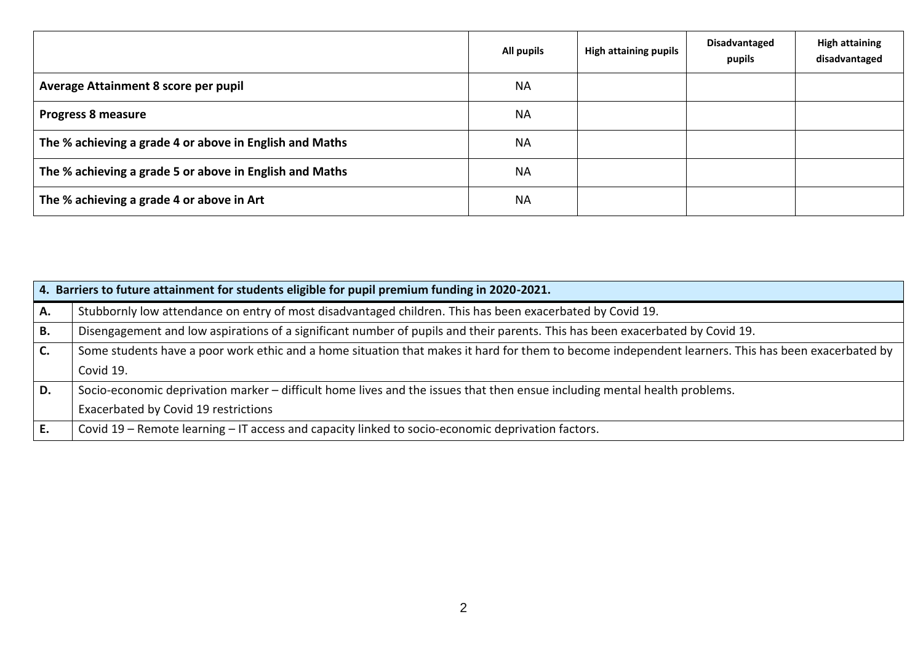|                                                         | All pupils | <b>High attaining pupils</b> | <b>Disadvantaged</b><br>pupils | <b>High attaining</b><br>disadvantaged |
|---------------------------------------------------------|------------|------------------------------|--------------------------------|----------------------------------------|
| Average Attainment 8 score per pupil                    | <b>NA</b>  |                              |                                |                                        |
| <b>Progress 8 measure</b>                               | <b>NA</b>  |                              |                                |                                        |
| The % achieving a grade 4 or above in English and Maths | <b>NA</b>  |                              |                                |                                        |
| The % achieving a grade 5 or above in English and Maths | <b>NA</b>  |                              |                                |                                        |
| The % achieving a grade 4 or above in Art               | <b>NA</b>  |                              |                                |                                        |

|                | 4. Barriers to future attainment for students eligible for pupil premium funding in 2020-2021.                                                     |
|----------------|----------------------------------------------------------------------------------------------------------------------------------------------------|
| Α.             | Stubbornly low attendance on entry of most disadvantaged children. This has been exacerbated by Covid 19.                                          |
| B.             | Disengagement and low aspirations of a significant number of pupils and their parents. This has been exacerbated by Covid 19.                      |
| $\mathsf{C}$ . | Some students have a poor work ethic and a home situation that makes it hard for them to become independent learners. This has been exacerbated by |
|                | Covid 19.                                                                                                                                          |
| D.             | Socio-economic deprivation marker – difficult home lives and the issues that then ensue including mental health problems.                          |
|                | Exacerbated by Covid 19 restrictions                                                                                                               |
| ΙE.            | Covid 19 - Remote learning - IT access and capacity linked to socio-economic deprivation factors.                                                  |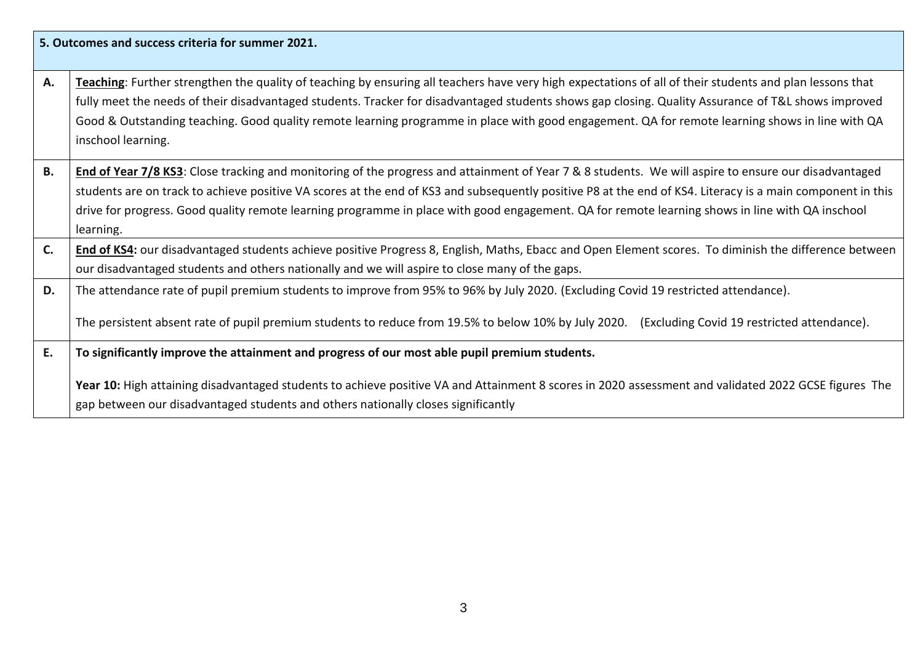|           | 5. Outcomes and success criteria for summer 2021.                                                                                                                                                                                                                                                                                                                                                                                                                                        |
|-----------|------------------------------------------------------------------------------------------------------------------------------------------------------------------------------------------------------------------------------------------------------------------------------------------------------------------------------------------------------------------------------------------------------------------------------------------------------------------------------------------|
| Α.        | Teaching: Further strengthen the quality of teaching by ensuring all teachers have very high expectations of all of their students and plan lessons that<br>fully meet the needs of their disadvantaged students. Tracker for disadvantaged students shows gap closing. Quality Assurance of T&L shows improved<br>Good & Outstanding teaching. Good quality remote learning programme in place with good engagement. QA for remote learning shows in line with QA<br>inschool learning. |
| <b>B.</b> | End of Year 7/8 KS3: Close tracking and monitoring of the progress and attainment of Year 7 & 8 students. We will aspire to ensure our disadvantaged<br>students are on track to achieve positive VA scores at the end of KS3 and subsequently positive P8 at the end of KS4. Literacy is a main component in this<br>drive for progress. Good quality remote learning programme in place with good engagement. QA for remote learning shows in line with QA inschool<br>learning.       |
| C.        | End of KS4: our disadvantaged students achieve positive Progress 8, English, Maths, Ebacc and Open Element scores. To diminish the difference between<br>our disadvantaged students and others nationally and we will aspire to close many of the gaps.                                                                                                                                                                                                                                  |
| D.        | The attendance rate of pupil premium students to improve from 95% to 96% by July 2020. (Excluding Covid 19 restricted attendance).<br>The persistent absent rate of pupil premium students to reduce from 19.5% to below 10% by July 2020. (Excluding Covid 19 restricted attendance).                                                                                                                                                                                                   |
| E.        | To significantly improve the attainment and progress of our most able pupil premium students.                                                                                                                                                                                                                                                                                                                                                                                            |
|           | Year 10: High attaining disadvantaged students to achieve positive VA and Attainment 8 scores in 2020 assessment and validated 2022 GCSE figures The<br>gap between our disadvantaged students and others nationally closes significantly                                                                                                                                                                                                                                                |

٦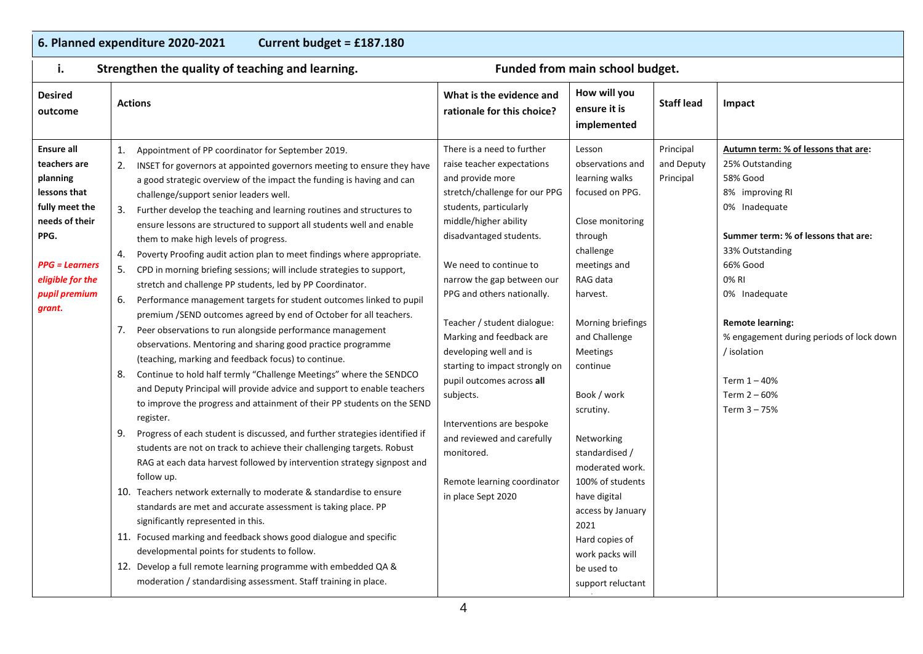## **6. Planned expenditure 2020-2021 Current budget = £187.180**

| i.                                                                                                                                                                           | Strengthen the quality of teaching and learning.                                                                                                                                                                                                                                                                                                                                                                                                                                                                                                                                                                                                                                                                                                                                                                                                                                                                                                                                                                                                                                                                                                                                                                                                                                                                                                                                                                                                                                                                                                                                                                                                                                                                                                                                                                                                                                                                                                                      | Funded from main school budget.                                                                                                                                                                                                                                                                                                                                                                                                                                                                                                                                                  |                                                                                                                                                                                                                                                                                                                                                                                                                                                  |                                      |                                                                                                                                                                                                                                                                                                                                                    |
|------------------------------------------------------------------------------------------------------------------------------------------------------------------------------|-----------------------------------------------------------------------------------------------------------------------------------------------------------------------------------------------------------------------------------------------------------------------------------------------------------------------------------------------------------------------------------------------------------------------------------------------------------------------------------------------------------------------------------------------------------------------------------------------------------------------------------------------------------------------------------------------------------------------------------------------------------------------------------------------------------------------------------------------------------------------------------------------------------------------------------------------------------------------------------------------------------------------------------------------------------------------------------------------------------------------------------------------------------------------------------------------------------------------------------------------------------------------------------------------------------------------------------------------------------------------------------------------------------------------------------------------------------------------------------------------------------------------------------------------------------------------------------------------------------------------------------------------------------------------------------------------------------------------------------------------------------------------------------------------------------------------------------------------------------------------------------------------------------------------------------------------------------------------|----------------------------------------------------------------------------------------------------------------------------------------------------------------------------------------------------------------------------------------------------------------------------------------------------------------------------------------------------------------------------------------------------------------------------------------------------------------------------------------------------------------------------------------------------------------------------------|--------------------------------------------------------------------------------------------------------------------------------------------------------------------------------------------------------------------------------------------------------------------------------------------------------------------------------------------------------------------------------------------------------------------------------------------------|--------------------------------------|----------------------------------------------------------------------------------------------------------------------------------------------------------------------------------------------------------------------------------------------------------------------------------------------------------------------------------------------------|
| <b>Desired</b><br>outcome                                                                                                                                                    | <b>Actions</b>                                                                                                                                                                                                                                                                                                                                                                                                                                                                                                                                                                                                                                                                                                                                                                                                                                                                                                                                                                                                                                                                                                                                                                                                                                                                                                                                                                                                                                                                                                                                                                                                                                                                                                                                                                                                                                                                                                                                                        | What is the evidence and<br>rationale for this choice?                                                                                                                                                                                                                                                                                                                                                                                                                                                                                                                           | How will you<br>ensure it is<br>implemented                                                                                                                                                                                                                                                                                                                                                                                                      | <b>Staff lead</b>                    | Impact                                                                                                                                                                                                                                                                                                                                             |
| <b>Ensure all</b><br>teachers are<br>planning<br>lessons that<br>fully meet the<br>needs of their<br>PPG.<br>$PPG = Learning$<br>eligible for the<br>pupil premium<br>grant. | Appointment of PP coordinator for September 2019.<br>1.<br>INSET for governors at appointed governors meeting to ensure they have<br>a good strategic overview of the impact the funding is having and can<br>challenge/support senior leaders well.<br>Further develop the teaching and learning routines and structures to<br>ensure lessons are structured to support all students well and enable<br>them to make high levels of progress.<br>Poverty Proofing audit action plan to meet findings where appropriate.<br>4.<br>CPD in morning briefing sessions; will include strategies to support,<br>5.<br>stretch and challenge PP students, led by PP Coordinator.<br>Performance management targets for student outcomes linked to pupil<br>6.<br>premium /SEND outcomes agreed by end of October for all teachers.<br>Peer observations to run alongside performance management<br>7.<br>observations. Mentoring and sharing good practice programme<br>(teaching, marking and feedback focus) to continue.<br>Continue to hold half termly "Challenge Meetings" where the SENDCO<br>8.<br>and Deputy Principal will provide advice and support to enable teachers<br>to improve the progress and attainment of their PP students on the SEND<br>register.<br>Progress of each student is discussed, and further strategies identified if<br>9.<br>students are not on track to achieve their challenging targets. Robust<br>RAG at each data harvest followed by intervention strategy signpost and<br>follow up.<br>10. Teachers network externally to moderate & standardise to ensure<br>standards are met and accurate assessment is taking place. PP<br>significantly represented in this.<br>11. Focused marking and feedback shows good dialogue and specific<br>developmental points for students to follow.<br>12. Develop a full remote learning programme with embedded QA &<br>moderation / standardising assessment. Staff training in place. | There is a need to further<br>raise teacher expectations<br>and provide more<br>stretch/challenge for our PPG<br>students, particularly<br>middle/higher ability<br>disadvantaged students.<br>We need to continue to<br>narrow the gap between our<br>PPG and others nationally.<br>Teacher / student dialogue:<br>Marking and feedback are<br>developing well and is<br>starting to impact strongly on<br>pupil outcomes across all<br>subjects.<br>Interventions are bespoke<br>and reviewed and carefully<br>monitored.<br>Remote learning coordinator<br>in place Sept 2020 | Lesson<br>observations and<br>learning walks<br>focused on PPG.<br>Close monitoring<br>through<br>challenge<br>meetings and<br>RAG data<br>harvest.<br>Morning briefings<br>and Challenge<br><b>Meetings</b><br>continue<br>Book / work<br>scrutiny.<br>Networking<br>standardised /<br>moderated work.<br>100% of students<br>have digital<br>access by January<br>2021<br>Hard copies of<br>work packs will<br>be used to<br>support reluctant | Principal<br>and Deputy<br>Principal | Autumn term: % of lessons that are:<br>25% Outstanding<br>58% Good<br>8% improving RI<br>0% Inadequate<br>Summer term: % of lessons that are:<br>33% Outstanding<br>66% Good<br>0% RI<br>0% Inadequate<br><b>Remote learning:</b><br>% engagement during periods of lock down<br>/ isolation<br>Term $1 - 40%$<br>Term $2 - 60%$<br>Term $3 - 75%$ |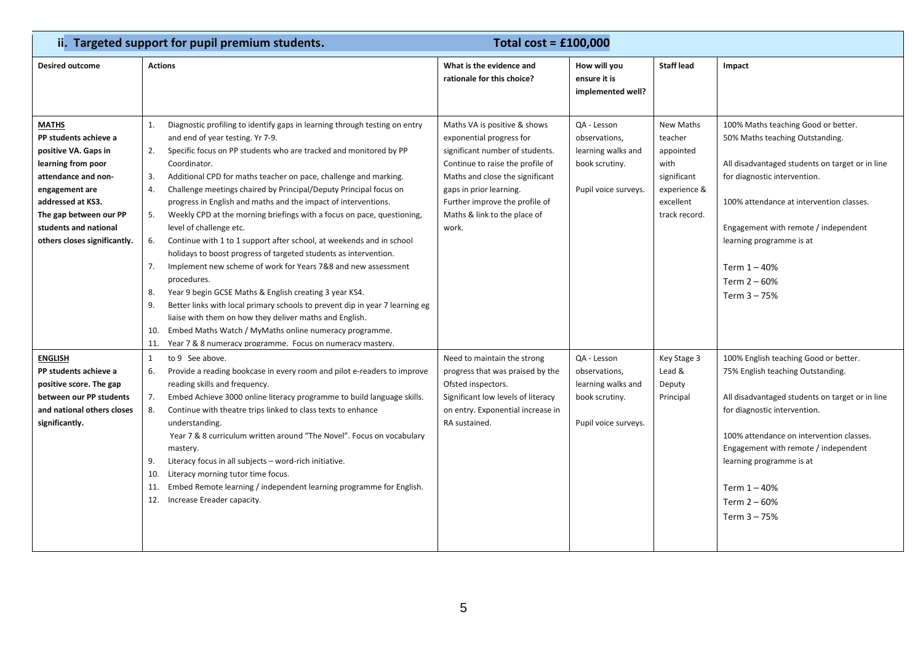|                                                                                                                                                                                                                                      | ii. Targeted support for pupil premium students.<br>Total cost = $£100,000$                                                                                                                                                                                                                                                                                                                                                                                                                                                                                                                                                                                                                                                                                                                                                                                                                                                                                                                                                                                                                                                                  |                                                                                                                                                                                                                                                                          |                                                                                              |                                                                                                               |                                                                                                                                                                                                                                                                                                                                     |  |
|--------------------------------------------------------------------------------------------------------------------------------------------------------------------------------------------------------------------------------------|----------------------------------------------------------------------------------------------------------------------------------------------------------------------------------------------------------------------------------------------------------------------------------------------------------------------------------------------------------------------------------------------------------------------------------------------------------------------------------------------------------------------------------------------------------------------------------------------------------------------------------------------------------------------------------------------------------------------------------------------------------------------------------------------------------------------------------------------------------------------------------------------------------------------------------------------------------------------------------------------------------------------------------------------------------------------------------------------------------------------------------------------|--------------------------------------------------------------------------------------------------------------------------------------------------------------------------------------------------------------------------------------------------------------------------|----------------------------------------------------------------------------------------------|---------------------------------------------------------------------------------------------------------------|-------------------------------------------------------------------------------------------------------------------------------------------------------------------------------------------------------------------------------------------------------------------------------------------------------------------------------------|--|
| <b>Desired outcome</b>                                                                                                                                                                                                               | <b>Actions</b>                                                                                                                                                                                                                                                                                                                                                                                                                                                                                                                                                                                                                                                                                                                                                                                                                                                                                                                                                                                                                                                                                                                               | What is the evidence and<br>rationale for this choice?                                                                                                                                                                                                                   | How will you<br>ensure it is<br>implemented well?                                            | <b>Staff lead</b>                                                                                             | Impact                                                                                                                                                                                                                                                                                                                              |  |
| <b>MATHS</b><br>PP students achieve a<br>positive VA. Gaps in<br>learning from poor<br>attendance and non-<br>engagement are<br>addressed at KS3.<br>The gap between our PP<br>students and national<br>others closes significantly. | Diagnostic profiling to identify gaps in learning through testing on entry<br>1.<br>and end of year testing. Yr 7-9.<br>Specific focus on PP students who are tracked and monitored by PP<br>2.<br>Coordinator.<br>Additional CPD for maths teacher on pace, challenge and marking.<br>3.<br>Challenge meetings chaired by Principal/Deputy Principal focus on<br>4.<br>progress in English and maths and the impact of interventions.<br>5.<br>Weekly CPD at the morning briefings with a focus on pace, questioning,<br>level of challenge etc.<br>6.<br>Continue with 1 to 1 support after school, at weekends and in school<br>holidays to boost progress of targeted students as intervention.<br>Implement new scheme of work for Years 7&8 and new assessment<br>7.<br>procedures.<br>Year 9 begin GCSE Maths & English creating 3 year KS4.<br>8.<br>9.<br>Better links with local primary schools to prevent dip in year 7 learning eg<br>liaise with them on how they deliver maths and English.<br>Embed Maths Watch / MyMaths online numeracy programme.<br>10.<br>11. Year 7 & 8 numeracy programme. Focus on numeracy mastery. | Maths VA is positive & shows<br>exponential progress for<br>significant number of students.<br>Continue to raise the profile of<br>Maths and close the significant<br>gaps in prior learning.<br>Further improve the profile of<br>Maths & link to the place of<br>work. | QA - Lesson<br>observations,<br>learning walks and<br>book scrutiny.<br>Pupil voice surveys. | <b>New Maths</b><br>teacher<br>appointed<br>with<br>significant<br>experience &<br>excellent<br>track record. | 100% Maths teaching Good or better.<br>50% Maths teaching Outstanding.<br>All disadvantaged students on target or in line<br>for diagnostic intervention.<br>100% attendance at intervention classes.<br>Engagement with remote / independent<br>learning programme is at<br>Term $1 - 40%$<br>Term $2 - 60%$<br>Term $3 - 75%$     |  |
| <b>ENGLISH</b><br>PP students achieve a<br>positive score. The gap<br>between our PP students<br>and national others closes<br>significantly.                                                                                        | to 9 See above.<br>1<br>Provide a reading bookcase in every room and pilot e-readers to improve<br>6.<br>reading skills and frequency.<br>Embed Achieve 3000 online literacy programme to build language skills.<br>7.<br>8.<br>Continue with theatre trips linked to class texts to enhance<br>understanding.<br>Year 7 & 8 curriculum written around "The Novel". Focus on vocabulary<br>mastery.<br>Literacy focus in all subjects - word-rich initiative.<br>9.<br>Literacy morning tutor time focus.<br>10.<br>Embed Remote learning / independent learning programme for English.<br>11.<br>12. Increase Ereader capacity.                                                                                                                                                                                                                                                                                                                                                                                                                                                                                                             | Need to maintain the strong<br>progress that was praised by the<br>Ofsted inspectors.<br>Significant low levels of literacy<br>on entry. Exponential increase in<br>RA sustained.                                                                                        | QA - Lesson<br>observations,<br>learning walks and<br>book scrutiny.<br>Pupil voice surveys. | Key Stage 3<br>Lead &<br>Deputy<br>Principal                                                                  | 100% English teaching Good or better.<br>75% English teaching Outstanding.<br>All disadvantaged students on target or in line<br>for diagnostic intervention.<br>100% attendance on intervention classes.<br>Engagement with remote / independent<br>learning programme is at<br>Term $1 - 40%$<br>Term $2 - 60%$<br>Term $3 - 75%$ |  |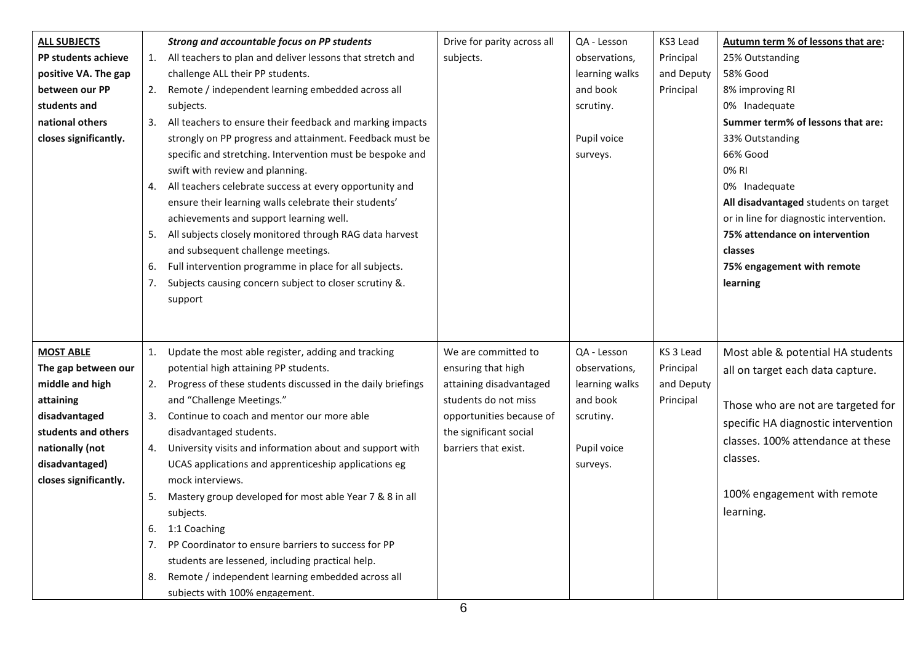| <b>ALL SUBJECTS</b><br>PP students achieve<br>positive VA. The gap<br>between our PP<br>students and<br>national others<br>closes significantly.                              | 5.<br>6.<br>7.       | Strong and accountable focus on PP students<br>1. All teachers to plan and deliver lessons that stretch and<br>challenge ALL their PP students.<br>2. Remote / independent learning embedded across all<br>subjects.<br>3. All teachers to ensure their feedback and marking impacts<br>strongly on PP progress and attainment. Feedback must be<br>specific and stretching. Intervention must be bespoke and<br>swift with review and planning.<br>4. All teachers celebrate success at every opportunity and<br>ensure their learning walls celebrate their students'<br>achievements and support learning well.<br>All subjects closely monitored through RAG data harvest<br>and subsequent challenge meetings.<br>Full intervention programme in place for all subjects.<br>Subjects causing concern subject to closer scrutiny &.<br>support | Drive for parity across all<br>subjects.                                                                                                                                   | QA - Lesson<br>observations,<br>learning walks<br>and book<br>scrutiny.<br>Pupil voice<br>surveys. | KS3 Lead<br>Principal<br>and Deputy<br>Principal  | Autumn term % of lessons that are:<br>25% Outstanding<br>58% Good<br>8% improving RI<br>0% Inadequate<br>Summer term% of lessons that are:<br>33% Outstanding<br>66% Good<br>0% RI<br>0% Inadequate<br>All disadvantaged students on target<br>or in line for diagnostic intervention.<br>75% attendance on intervention<br>classes<br>75% engagement with remote<br>learning |
|-------------------------------------------------------------------------------------------------------------------------------------------------------------------------------|----------------------|----------------------------------------------------------------------------------------------------------------------------------------------------------------------------------------------------------------------------------------------------------------------------------------------------------------------------------------------------------------------------------------------------------------------------------------------------------------------------------------------------------------------------------------------------------------------------------------------------------------------------------------------------------------------------------------------------------------------------------------------------------------------------------------------------------------------------------------------------|----------------------------------------------------------------------------------------------------------------------------------------------------------------------------|----------------------------------------------------------------------------------------------------|---------------------------------------------------|-------------------------------------------------------------------------------------------------------------------------------------------------------------------------------------------------------------------------------------------------------------------------------------------------------------------------------------------------------------------------------|
| <b>MOST ABLE</b><br>The gap between our<br>middle and high<br>attaining<br>disadvantaged<br>students and others<br>nationally (not<br>disadvantaged)<br>closes significantly. | 5.<br>6.<br>7.<br>8. | 1. Update the most able register, adding and tracking<br>potential high attaining PP students.<br>2. Progress of these students discussed in the daily briefings<br>and "Challenge Meetings."<br>3. Continue to coach and mentor our more able<br>disadvantaged students.<br>4. University visits and information about and support with<br>UCAS applications and apprenticeship applications eg<br>mock interviews.<br>Mastery group developed for most able Year 7 & 8 in all<br>subjects.<br>1:1 Coaching<br>PP Coordinator to ensure barriers to success for PP<br>students are lessened, including practical help.<br>Remote / independent learning embedded across all<br>subiects with 100% engagement.                                                                                                                                     | We are committed to<br>ensuring that high<br>attaining disadvantaged<br>students do not miss<br>opportunities because of<br>the significant social<br>barriers that exist. | QA - Lesson<br>observations,<br>learning walks<br>and book<br>scrutiny.<br>Pupil voice<br>surveys. | KS 3 Lead<br>Principal<br>and Deputy<br>Principal | Most able & potential HA students<br>all on target each data capture.<br>Those who are not are targeted for<br>specific HA diagnostic intervention<br>classes. 100% attendance at these<br>classes.<br>100% engagement with remote<br>learning.                                                                                                                               |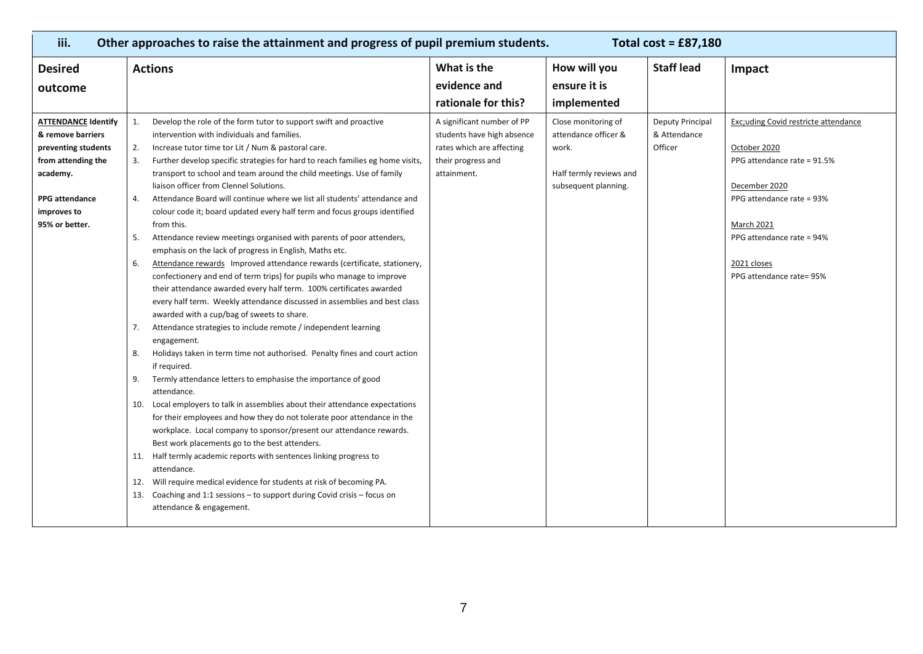| iii.                                                                                                                                                               | Other approaches to raise the attainment and progress of pupil premium students.<br>Total cost = $£87,180$                                                                                                                                                                                                                                                                                                                                                                                                                                                                                                                                                                                                                                                                                                                                                                                                                                                                                                                                                                                                                                                                                                                                                                                                                                                                                                                                                                                                                                                                                                                                                                                                                                                                                                                                                                                                                         |                                                                                                                            |                                                                                                         |                                                    |                                                                                                                                                                                                                                |  |
|--------------------------------------------------------------------------------------------------------------------------------------------------------------------|------------------------------------------------------------------------------------------------------------------------------------------------------------------------------------------------------------------------------------------------------------------------------------------------------------------------------------------------------------------------------------------------------------------------------------------------------------------------------------------------------------------------------------------------------------------------------------------------------------------------------------------------------------------------------------------------------------------------------------------------------------------------------------------------------------------------------------------------------------------------------------------------------------------------------------------------------------------------------------------------------------------------------------------------------------------------------------------------------------------------------------------------------------------------------------------------------------------------------------------------------------------------------------------------------------------------------------------------------------------------------------------------------------------------------------------------------------------------------------------------------------------------------------------------------------------------------------------------------------------------------------------------------------------------------------------------------------------------------------------------------------------------------------------------------------------------------------------------------------------------------------------------------------------------------------|----------------------------------------------------------------------------------------------------------------------------|---------------------------------------------------------------------------------------------------------|----------------------------------------------------|--------------------------------------------------------------------------------------------------------------------------------------------------------------------------------------------------------------------------------|--|
| <b>Desired</b><br>outcome                                                                                                                                          | <b>Actions</b>                                                                                                                                                                                                                                                                                                                                                                                                                                                                                                                                                                                                                                                                                                                                                                                                                                                                                                                                                                                                                                                                                                                                                                                                                                                                                                                                                                                                                                                                                                                                                                                                                                                                                                                                                                                                                                                                                                                     | What is the<br>evidence and<br>rationale for this?                                                                         | How will you<br>ensure it is<br>implemented                                                             | <b>Staff lead</b>                                  | Impact                                                                                                                                                                                                                         |  |
| <b>ATTENDANCE Identify</b><br>& remove barriers<br>preventing students<br>from attending the<br>academy.<br><b>PPG</b> attendance<br>improves to<br>95% or better. | Develop the role of the form tutor to support swift and proactive<br>1.<br>intervention with individuals and families.<br>Increase tutor time tor Lit / Num & pastoral care.<br>2.<br>Further develop specific strategies for hard to reach families eg home visits,<br>3.<br>transport to school and team around the child meetings. Use of family<br>liaison officer from Clennel Solutions.<br>Attendance Board will continue where we list all students' attendance and<br>4.<br>colour code it; board updated every half term and focus groups identified<br>from this.<br>Attendance review meetings organised with parents of poor attenders,<br>-5.<br>emphasis on the lack of progress in English, Maths etc.<br>Attendance rewards Improved attendance rewards (certificate, stationery,<br>6.<br>confectionery and end of term trips) for pupils who manage to improve<br>their attendance awarded every half term. 100% certificates awarded<br>every half term. Weekly attendance discussed in assemblies and best class<br>awarded with a cup/bag of sweets to share.<br>Attendance strategies to include remote / independent learning<br>7.<br>engagement.<br>Holidays taken in term time not authorised. Penalty fines and court action<br>8.<br>if required.<br>Termly attendance letters to emphasise the importance of good<br>9.<br>attendance.<br>10. Local employers to talk in assemblies about their attendance expectations<br>for their employees and how they do not tolerate poor attendance in the<br>workplace. Local company to sponsor/present our attendance rewards.<br>Best work placements go to the best attenders.<br>11. Half termly academic reports with sentences linking progress to<br>attendance.<br>12. Will require medical evidence for students at risk of becoming PA.<br>13. Coaching and 1:1 sessions - to support during Covid crisis - focus on<br>attendance & engagement. | A significant number of PP<br>students have high absence<br>rates which are affecting<br>their progress and<br>attainment. | Close monitoring of<br>attendance officer &<br>work.<br>Half termly reviews and<br>subsequent planning. | <b>Deputy Principal</b><br>& Attendance<br>Officer | Exc;uding Covid restricte attendance<br>October 2020<br>PPG attendance rate = 91.5%<br>December 2020<br>PPG attendance rate = 93%<br><b>March 2021</b><br>PPG attendance rate = 94%<br>2021 closes<br>PPG attendance rate= 95% |  |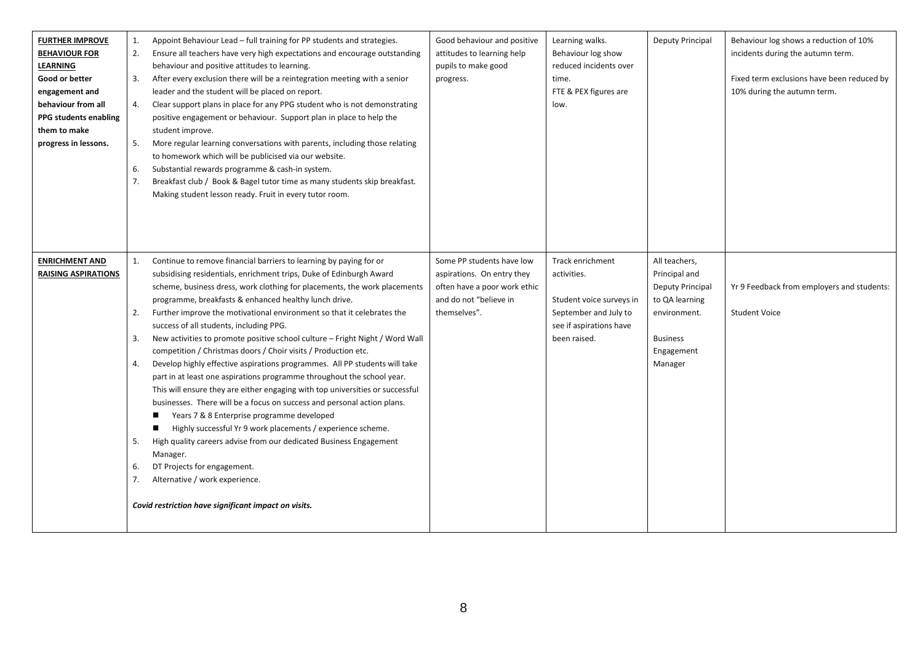| <b>FURTHER IMPROVE</b><br><b>BEHAVIOUR FOR</b><br><b>LEARNING</b><br>Good or better<br>engagement and<br>behaviour from all<br><b>PPG students enabling</b><br>them to make<br>progress in lessons. | 1.<br>2.<br>3.<br>4.<br>5.<br>6.<br>7. | Appoint Behaviour Lead - full training for PP students and strategies.<br>Ensure all teachers have very high expectations and encourage outstanding<br>behaviour and positive attitudes to learning.<br>After every exclusion there will be a reintegration meeting with a senior<br>leader and the student will be placed on report.<br>Clear support plans in place for any PPG student who is not demonstrating<br>positive engagement or behaviour. Support plan in place to help the<br>student improve.<br>More regular learning conversations with parents, including those relating<br>to homework which will be publicised via our website.<br>Substantial rewards programme & cash-in system.<br>Breakfast club / Book & Bagel tutor time as many students skip breakfast.<br>Making student lesson ready. Fruit in every tutor room.                                                                                                                                                                                                                                                                                                                                                    | Good behaviour and positive<br>attitudes to learning help<br>pupils to make good<br>progress.                                     | Learning walks.<br>Behaviour log show<br>reduced incidents over<br>time.<br>FTE & PEX figures are<br>low.                       | Deputy Principal                                                                                                                 | Behaviour log shows a reduction of 10%<br>incidents during the autumn term.<br>Fixed term exclusions have been reduced by<br>10% during the autumn term. |
|-----------------------------------------------------------------------------------------------------------------------------------------------------------------------------------------------------|----------------------------------------|----------------------------------------------------------------------------------------------------------------------------------------------------------------------------------------------------------------------------------------------------------------------------------------------------------------------------------------------------------------------------------------------------------------------------------------------------------------------------------------------------------------------------------------------------------------------------------------------------------------------------------------------------------------------------------------------------------------------------------------------------------------------------------------------------------------------------------------------------------------------------------------------------------------------------------------------------------------------------------------------------------------------------------------------------------------------------------------------------------------------------------------------------------------------------------------------------|-----------------------------------------------------------------------------------------------------------------------------------|---------------------------------------------------------------------------------------------------------------------------------|----------------------------------------------------------------------------------------------------------------------------------|----------------------------------------------------------------------------------------------------------------------------------------------------------|
| <b>ENRICHMENT AND</b><br><b>RAISING ASPIRATIONS</b>                                                                                                                                                 | 1.<br>2.<br>3.<br>4.<br>5.<br>6.<br>7. | Continue to remove financial barriers to learning by paying for or<br>subsidising residentials, enrichment trips, Duke of Edinburgh Award<br>scheme, business dress, work clothing for placements, the work placements<br>programme, breakfasts & enhanced healthy lunch drive.<br>Further improve the motivational environment so that it celebrates the<br>success of all students, including PPG.<br>New activities to promote positive school culture – Fright Night / Word Wall<br>competition / Christmas doors / Choir visits / Production etc.<br>Develop highly effective aspirations programmes. All PP students will take<br>part in at least one aspirations programme throughout the school year.<br>This will ensure they are either engaging with top universities or successful<br>businesses. There will be a focus on success and personal action plans.<br>Years 7 & 8 Enterprise programme developed<br>Highly successful Yr 9 work placements / experience scheme.<br>High quality careers advise from our dedicated Business Engagement<br>Manager.<br>DT Projects for engagement.<br>Alternative / work experience.<br>Covid restriction have significant impact on visits. | Some PP students have low<br>aspirations. On entry they<br>often have a poor work ethic<br>and do not "believe in<br>themselves". | Track enrichment<br>activities.<br>Student voice surveys in<br>September and July to<br>see if aspirations have<br>been raised. | All teachers,<br>Principal and<br>Deputy Principal<br>to QA learning<br>environment.<br><b>Business</b><br>Engagement<br>Manager | Yr 9 Feedback from employers and students:<br><b>Student Voice</b>                                                                                       |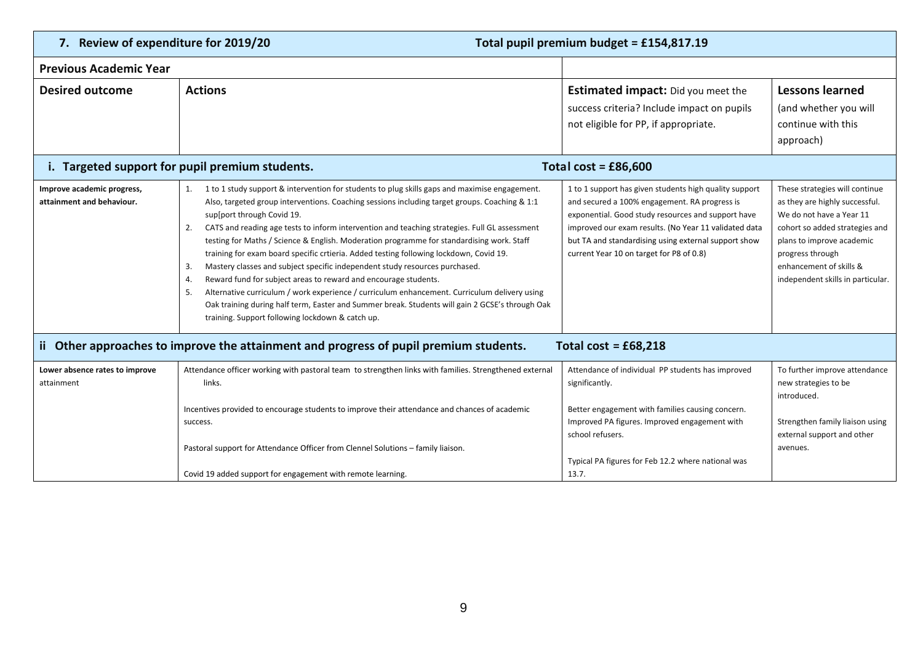| 7. Review of expenditure for 2019/20                    |                                                                                                                                                                                                                                                                                                                                                                                                                                                                                                                                                                                                                                                                                                                                                                                                                                                                                                                                                              | Total pupil premium budget = £154,817.19                                                                                                                                                                                                                                                                                   |                                                                                                                                                                                                                                                 |  |  |  |  |  |
|---------------------------------------------------------|--------------------------------------------------------------------------------------------------------------------------------------------------------------------------------------------------------------------------------------------------------------------------------------------------------------------------------------------------------------------------------------------------------------------------------------------------------------------------------------------------------------------------------------------------------------------------------------------------------------------------------------------------------------------------------------------------------------------------------------------------------------------------------------------------------------------------------------------------------------------------------------------------------------------------------------------------------------|----------------------------------------------------------------------------------------------------------------------------------------------------------------------------------------------------------------------------------------------------------------------------------------------------------------------------|-------------------------------------------------------------------------------------------------------------------------------------------------------------------------------------------------------------------------------------------------|--|--|--|--|--|
| <b>Previous Academic Year</b>                           |                                                                                                                                                                                                                                                                                                                                                                                                                                                                                                                                                                                                                                                                                                                                                                                                                                                                                                                                                              |                                                                                                                                                                                                                                                                                                                            |                                                                                                                                                                                                                                                 |  |  |  |  |  |
| <b>Desired outcome</b>                                  | <b>Actions</b>                                                                                                                                                                                                                                                                                                                                                                                                                                                                                                                                                                                                                                                                                                                                                                                                                                                                                                                                               | <b>Estimated impact:</b> Did you meet the<br>success criteria? Include impact on pupils<br>not eligible for PP, if appropriate.                                                                                                                                                                                            | <b>Lessons learned</b><br>(and whether you will<br>continue with this<br>approach)                                                                                                                                                              |  |  |  |  |  |
|                                                         | i. Targeted support for pupil premium students.<br>Total cost = $£86,600$                                                                                                                                                                                                                                                                                                                                                                                                                                                                                                                                                                                                                                                                                                                                                                                                                                                                                    |                                                                                                                                                                                                                                                                                                                            |                                                                                                                                                                                                                                                 |  |  |  |  |  |
| Improve academic progress,<br>attainment and behaviour. | 1 to 1 study support & intervention for students to plug skills gaps and maximise engagement.<br>1.<br>Also, targeted group interventions. Coaching sessions including target groups. Coaching & 1:1<br>sup[port through Covid 19.<br>CATS and reading age tests to inform intervention and teaching strategies. Full GL assessment<br>2.<br>testing for Maths / Science & English. Moderation programme for standardising work. Staff<br>training for exam board specific crtieria. Added testing following lockdown, Covid 19.<br>Mastery classes and subject specific independent study resources purchased.<br>3.<br>Reward fund for subject areas to reward and encourage students.<br>4.<br>Alternative curriculum / work experience / curriculum enhancement. Curriculum delivery using<br>-5.<br>Oak training during half term, Easter and Summer break. Students will gain 2 GCSE's through Oak<br>training. Support following lockdown & catch up. | 1 to 1 support has given students high quality support<br>and secured a 100% engagement. RA progress is<br>exponential. Good study resources and support have<br>improved our exam results. (No Year 11 validated data<br>but TA and standardising using external support show<br>current Year 10 on target for P8 of 0.8) | These strategies will continue<br>as they are highly successful.<br>We do not have a Year 11<br>cohort so added strategies and<br>plans to improve academic<br>progress through<br>enhancement of skills &<br>independent skills in particular. |  |  |  |  |  |
|                                                         | ii Other approaches to improve the attainment and progress of pupil premium students.                                                                                                                                                                                                                                                                                                                                                                                                                                                                                                                                                                                                                                                                                                                                                                                                                                                                        | Total cost = $£68,218$                                                                                                                                                                                                                                                                                                     |                                                                                                                                                                                                                                                 |  |  |  |  |  |
| Lower absence rates to improve<br>attainment            | Attendance officer working with pastoral team to strengthen links with families. Strengthened external<br>links.                                                                                                                                                                                                                                                                                                                                                                                                                                                                                                                                                                                                                                                                                                                                                                                                                                             | Attendance of individual PP students has improved<br>significantly.                                                                                                                                                                                                                                                        | To further improve attendance<br>new strategies to be<br>introduced.                                                                                                                                                                            |  |  |  |  |  |
|                                                         | Incentives provided to encourage students to improve their attendance and chances of academic<br>success.                                                                                                                                                                                                                                                                                                                                                                                                                                                                                                                                                                                                                                                                                                                                                                                                                                                    | Better engagement with families causing concern.<br>Improved PA figures. Improved engagement with<br>school refusers.                                                                                                                                                                                                      | Strengthen family liaison using<br>external support and other                                                                                                                                                                                   |  |  |  |  |  |
|                                                         | Pastoral support for Attendance Officer from Clennel Solutions - family liaison.<br>Covid 19 added support for engagement with remote learning.                                                                                                                                                                                                                                                                                                                                                                                                                                                                                                                                                                                                                                                                                                                                                                                                              | Typical PA figures for Feb 12.2 where national was<br>13.7.                                                                                                                                                                                                                                                                | avenues.                                                                                                                                                                                                                                        |  |  |  |  |  |
|                                                         |                                                                                                                                                                                                                                                                                                                                                                                                                                                                                                                                                                                                                                                                                                                                                                                                                                                                                                                                                              |                                                                                                                                                                                                                                                                                                                            |                                                                                                                                                                                                                                                 |  |  |  |  |  |